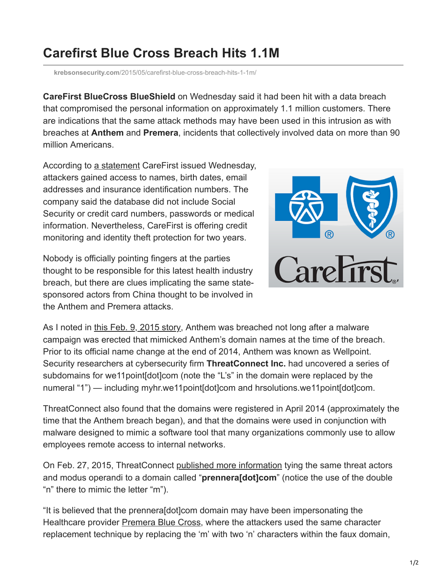## **Carefirst Blue Cross Breach Hits 1.1M**

**krebsonsecurity.com**[/2015/05/carefirst-blue-cross-breach-hits-1-1m/](https://krebsonsecurity.com/2015/05/carefirst-blue-cross-breach-hits-1-1m/)

**CareFirst BlueCross BlueShield** on Wednesday said it had been hit with a data breach that compromised the personal information on approximately 1.1 million customers. There are indications that the same attack methods may have been used in this intrusion as with breaches at **Anthem** and **Premera**, incidents that collectively involved data on more than 90 million Americans.

According to [a statement](http://www.carefirstanswers.com/) CareFirst issued Wednesday, attackers gained access to names, birth dates, email addresses and insurance identification numbers. The company said the database did not include Social Security or credit card numbers, passwords or medical information. Nevertheless, CareFirst is offering credit monitoring and identity theft protection for two years.

Nobody is officially pointing fingers at the parties thought to be responsible for this latest health industry breach, but there are clues implicating the same statesponsored actors from China thought to be involved in the Anthem and Premera attacks.



As I noted in [this Feb. 9, 2015 story,](http://krebsonsecurity.com/2015/02/anthem-breach-may-have-started-in-april-2014/) Anthem was breached not long after a malware campaign was erected that mimicked Anthem's domain names at the time of the breach. Prior to its official name change at the end of 2014, Anthem was known as Wellpoint. Security researchers at cybersecurity firm **ThreatConnect Inc.** had uncovered a series of subdomains for we11point[dot]com (note the "L's" in the domain were replaced by the numeral "1") — including myhr.we11point[dot]com and hrsolutions.we11point[dot]com.

ThreatConnect also found that the domains were registered in April 2014 (approximately the time that the Anthem breach began), and that the domains were used in conjunction with malware designed to mimic a software tool that many organizations commonly use to allow employees remote access to internal networks.

On Feb. 27, 2015, ThreatConnect [published more information](http://www.threatconnect.com/news/the-anthem-hack-all-roads-lead-to-china/) tying the same threat actors and modus operandi to a domain called "**prennera[dot]com**" (notice the use of the double "n" there to mimic the letter "m").

"It is believed that the prennera[dot]com domain may have been impersonating the Healthcare provider [Premera Blue Cross](http://www.premera.com/), where the attackers used the same character replacement technique by replacing the 'm' with two 'n' characters within the faux domain,